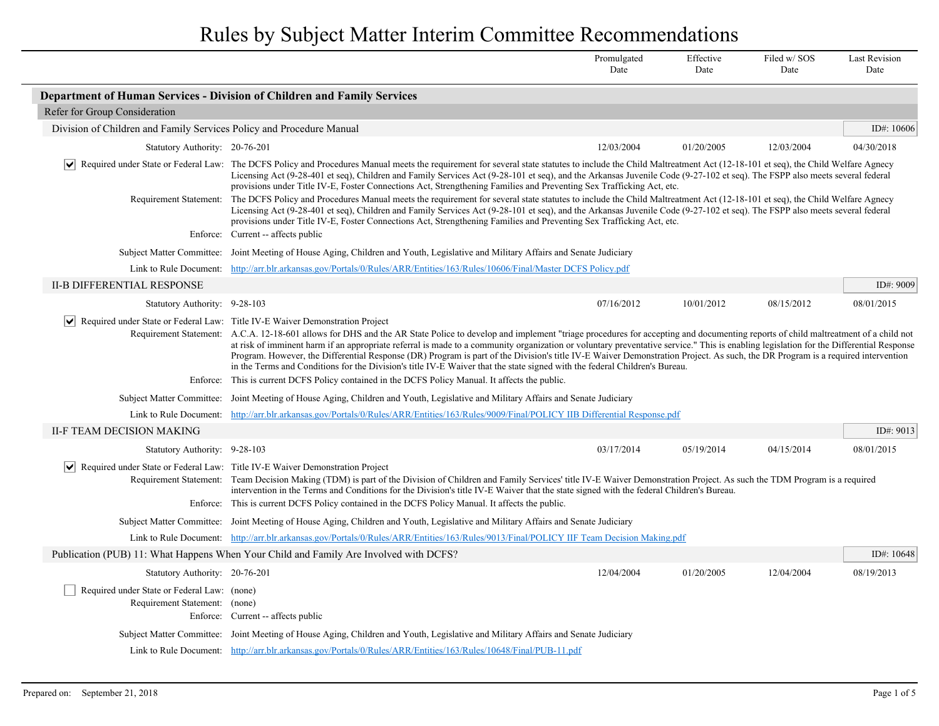|                                                                              |                                                                                                                                                                                                                                                                                                                                                                                                                                                                                                                                                                                                                                                                                                                                                                                                                | Promulgated<br>Date | Effective<br>Date | Filed w/SOS<br>Date | <b>Last Revision</b><br>Date |
|------------------------------------------------------------------------------|----------------------------------------------------------------------------------------------------------------------------------------------------------------------------------------------------------------------------------------------------------------------------------------------------------------------------------------------------------------------------------------------------------------------------------------------------------------------------------------------------------------------------------------------------------------------------------------------------------------------------------------------------------------------------------------------------------------------------------------------------------------------------------------------------------------|---------------------|-------------------|---------------------|------------------------------|
|                                                                              | Department of Human Services - Division of Children and Family Services                                                                                                                                                                                                                                                                                                                                                                                                                                                                                                                                                                                                                                                                                                                                        |                     |                   |                     |                              |
| Refer for Group Consideration                                                |                                                                                                                                                                                                                                                                                                                                                                                                                                                                                                                                                                                                                                                                                                                                                                                                                |                     |                   |                     |                              |
| Division of Children and Family Services Policy and Procedure Manual         |                                                                                                                                                                                                                                                                                                                                                                                                                                                                                                                                                                                                                                                                                                                                                                                                                |                     |                   |                     | ID#: 10606                   |
| Statutory Authority: 20-76-201                                               |                                                                                                                                                                                                                                                                                                                                                                                                                                                                                                                                                                                                                                                                                                                                                                                                                | 12/03/2004          | 01/20/2005        | 12/03/2004          | 04/30/2018                   |
| $ \bm{\mathsf{v}} $                                                          | Required under State or Federal Law: The DCFS Policy and Procedures Manual meets the requirement for several state statutes to include the Child Maltreatment Act (12-18-101 et seq), the Child Welfare Agnecy<br>Licensing Act (9-28-401 et seq), Children and Family Services Act (9-28-101 et seq), and the Arkansas Juvenile Code (9-27-102 et seq). The FSPP also meets several federal<br>provisions under Title IV-E, Foster Connections Act, Strengthening Families and Preventing Sex Trafficking Act, etc.                                                                                                                                                                                                                                                                                           |                     |                   |                     |                              |
| Requirement Statement:                                                       | The DCFS Policy and Procedures Manual meets the requirement for several state statutes to include the Child Maltreatment Act (12-18-101 et seq), the Child Welfare Agnecy<br>Licensing Act (9-28-401 et seq), Children and Family Services Act (9-28-101 et seq), and the Arkansas Juvenile Code (9-27-102 et seq). The FSPP also meets several federal<br>provisions under Title IV-E, Foster Connections Act, Strengthening Families and Preventing Sex Trafficking Act, etc.                                                                                                                                                                                                                                                                                                                                |                     |                   |                     |                              |
| Enforce:                                                                     | Current -- affects public                                                                                                                                                                                                                                                                                                                                                                                                                                                                                                                                                                                                                                                                                                                                                                                      |                     |                   |                     |                              |
|                                                                              | Subject Matter Committee: Joint Meeting of House Aging, Children and Youth, Legislative and Military Affairs and Senate Judiciary                                                                                                                                                                                                                                                                                                                                                                                                                                                                                                                                                                                                                                                                              |                     |                   |                     |                              |
|                                                                              | Link to Rule Document: http://arr.blr.arkansas.gov/Portals/0/Rules/ARR/Entities/163/Rules/10606/Final/Master DCFS Policy.pdf                                                                                                                                                                                                                                                                                                                                                                                                                                                                                                                                                                                                                                                                                   |                     |                   |                     |                              |
| <b>II-B DIFFERENTIAL RESPONSE</b>                                            |                                                                                                                                                                                                                                                                                                                                                                                                                                                                                                                                                                                                                                                                                                                                                                                                                |                     |                   |                     | ID#: 9009                    |
| Statutory Authority: 9-28-103                                                |                                                                                                                                                                                                                                                                                                                                                                                                                                                                                                                                                                                                                                                                                                                                                                                                                | 07/16/2012          | 10/01/2012        | 08/15/2012          | 08/01/2015                   |
|                                                                              | $ \mathbf{v} $ Required under State or Federal Law: Title IV-E Waiver Demonstration Project<br>Requirement Statement: A.C.A. 12-18-601 allows for DHS and the AR State Police to develop and implement "triage procedures for accepting and documenting reports of child maltreatment of a child not<br>at risk of imminent harm if an appropriate referral is made to a community organization or voluntary preventative service." This is enabling legislation for the Differential Response<br>Program. However, the Differential Response (DR) Program is part of the Division's title IV-E Waiver Demonstration Project. As such, the DR Program is a required intervention<br>in the Terms and Conditions for the Division's title IV-E Waiver that the state signed with the federal Children's Bureau. |                     |                   |                     |                              |
| Enforce:                                                                     | This is current DCFS Policy contained in the DCFS Policy Manual. It affects the public.                                                                                                                                                                                                                                                                                                                                                                                                                                                                                                                                                                                                                                                                                                                        |                     |                   |                     |                              |
|                                                                              | Subject Matter Committee: Joint Meeting of House Aging, Children and Youth, Legislative and Military Affairs and Senate Judiciary                                                                                                                                                                                                                                                                                                                                                                                                                                                                                                                                                                                                                                                                              |                     |                   |                     |                              |
|                                                                              | Link to Rule Document: http://arr.blr.arkansas.gov/Portals/0/Rules/ARR/Entities/163/Rules/9009/Final/POLICY IIB Differential Response.pdf                                                                                                                                                                                                                                                                                                                                                                                                                                                                                                                                                                                                                                                                      |                     |                   |                     |                              |
| II-F TEAM DECISION MAKING                                                    |                                                                                                                                                                                                                                                                                                                                                                                                                                                                                                                                                                                                                                                                                                                                                                                                                |                     |                   |                     | ID#: 9013                    |
| Statutory Authority: 9-28-103                                                |                                                                                                                                                                                                                                                                                                                                                                                                                                                                                                                                                                                                                                                                                                                                                                                                                | 03/17/2014          | 05/19/2014        | 04/15/2014          | 08/01/2015                   |
|                                                                              | v  Required under State or Federal Law: Title IV-E Waiver Demonstration Project<br>Requirement Statement: Team Decision Making (TDM) is part of the Division of Children and Family Services' title IV-E Waiver Demonstration Project. As such the TDM Program is a required<br>intervention in the Terms and Conditions for the Division's title IV-E Waiver that the state signed with the federal Children's Bureau.<br>Enforce: This is current DCFS Policy contained in the DCFS Policy Manual. It affects the public.                                                                                                                                                                                                                                                                                    |                     |                   |                     |                              |
|                                                                              | Subject Matter Committee: Joint Meeting of House Aging, Children and Youth, Legislative and Military Affairs and Senate Judiciary                                                                                                                                                                                                                                                                                                                                                                                                                                                                                                                                                                                                                                                                              |                     |                   |                     |                              |
|                                                                              | Link to Rule Document: http://arr.blr.arkansas.gov/Portals/0/Rules/ARR/Entities/163/Rules/9013/Final/POLICY IIF Team Decision Making.pdf                                                                                                                                                                                                                                                                                                                                                                                                                                                                                                                                                                                                                                                                       |                     |                   |                     |                              |
|                                                                              | Publication (PUB) 11: What Happens When Your Child and Family Are Involved with DCFS?                                                                                                                                                                                                                                                                                                                                                                                                                                                                                                                                                                                                                                                                                                                          |                     |                   |                     | ID#: 10648                   |
| Statutory Authority: 20-76-201                                               |                                                                                                                                                                                                                                                                                                                                                                                                                                                                                                                                                                                                                                                                                                                                                                                                                | 12/04/2004          | 01/20/2005        | 12/04/2004          | 08/19/2013                   |
| Required under State or Federal Law: (none)<br>Requirement Statement: (none) | Enforce: Current -- affects public                                                                                                                                                                                                                                                                                                                                                                                                                                                                                                                                                                                                                                                                                                                                                                             |                     |                   |                     |                              |
|                                                                              | Subject Matter Committee: Joint Meeting of House Aging, Children and Youth, Legislative and Military Affairs and Senate Judiciary                                                                                                                                                                                                                                                                                                                                                                                                                                                                                                                                                                                                                                                                              |                     |                   |                     |                              |
|                                                                              | Link to Rule Document: http://arr.blr.arkansas.gov/Portals/0/Rules/ARR/Entities/163/Rules/10648/Final/PUB-11.pdf                                                                                                                                                                                                                                                                                                                                                                                                                                                                                                                                                                                                                                                                                               |                     |                   |                     |                              |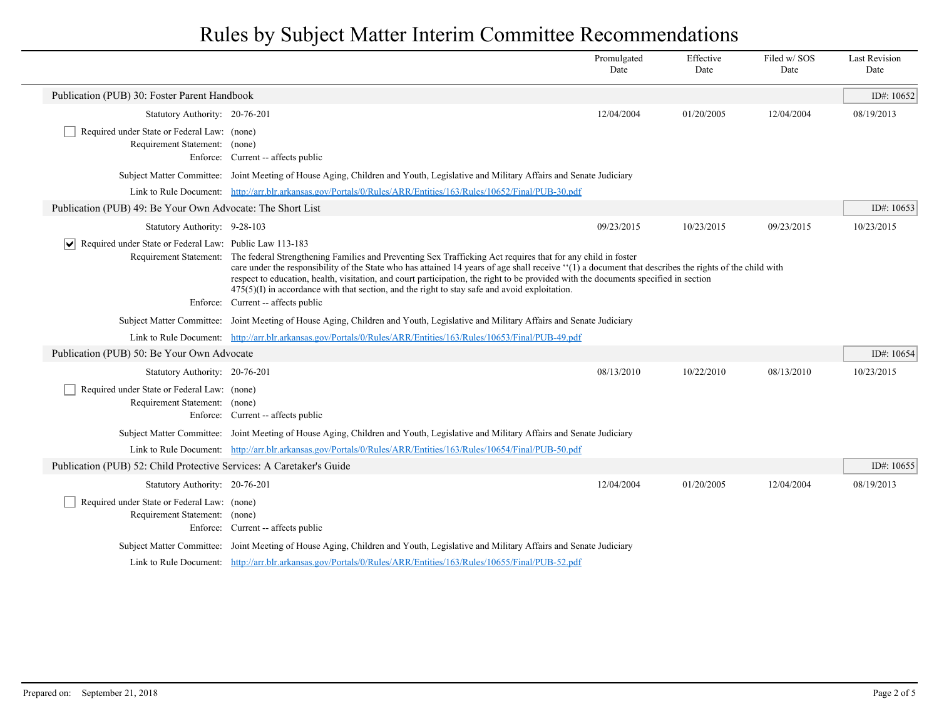|                                                                              |                                                                                                                                                                                                                                                                                                                                                                                                                                                                                                                                                                             | Promulgated<br>Date | Effective<br>Date | Filed w/SOS<br>Date | <b>Last Revision</b><br>Date |
|------------------------------------------------------------------------------|-----------------------------------------------------------------------------------------------------------------------------------------------------------------------------------------------------------------------------------------------------------------------------------------------------------------------------------------------------------------------------------------------------------------------------------------------------------------------------------------------------------------------------------------------------------------------------|---------------------|-------------------|---------------------|------------------------------|
| Publication (PUB) 30: Foster Parent Handbook                                 |                                                                                                                                                                                                                                                                                                                                                                                                                                                                                                                                                                             |                     |                   |                     | ID#: 10652                   |
| Statutory Authority: 20-76-201                                               |                                                                                                                                                                                                                                                                                                                                                                                                                                                                                                                                                                             | 12/04/2004          | 01/20/2005        | 12/04/2004          | 08/19/2013                   |
| Required under State or Federal Law: (none)<br>Requirement Statement: (none) | Enforce: Current -- affects public                                                                                                                                                                                                                                                                                                                                                                                                                                                                                                                                          |                     |                   |                     |                              |
|                                                                              | Subject Matter Committee: Joint Meeting of House Aging, Children and Youth, Legislative and Military Affairs and Senate Judiciary                                                                                                                                                                                                                                                                                                                                                                                                                                           |                     |                   |                     |                              |
|                                                                              | Link to Rule Document: http://arr.blr.arkansas.gov/Portals/0/Rules/ARR/Entities/163/Rules/10652/Final/PUB-30.pdf                                                                                                                                                                                                                                                                                                                                                                                                                                                            |                     |                   |                     |                              |
| Publication (PUB) 49: Be Your Own Advocate: The Short List                   |                                                                                                                                                                                                                                                                                                                                                                                                                                                                                                                                                                             |                     |                   |                     | ID#: $10653$                 |
| Statutory Authority: 9-28-103                                                |                                                                                                                                                                                                                                                                                                                                                                                                                                                                                                                                                                             | 09/23/2015          | 10/23/2015        | 09/23/2015          | 10/23/2015                   |
| $ \vee $ Required under State or Federal Law: Public Law 113-183             | Requirement Statement: The federal Strengthening Families and Preventing Sex Trafficking Act requires that for any child in foster<br>care under the responsibility of the State who has attained 14 years of age shall receive "(1) a document that describes the rights of the child with<br>respect to education, health, visitation, and court participation, the right to be provided with the documents specified in section<br>$475(5)(I)$ in accordance with that section, and the right to stay safe and avoid exploitation.<br>Enforce: Current -- affects public |                     |                   |                     |                              |
|                                                                              | Subject Matter Committee: Joint Meeting of House Aging, Children and Youth, Legislative and Military Affairs and Senate Judiciary                                                                                                                                                                                                                                                                                                                                                                                                                                           |                     |                   |                     |                              |
|                                                                              | Link to Rule Document: http://arr.blr.arkansas.gov/Portals/0/Rules/ARR/Entities/163/Rules/10653/Final/PUB-49.pdf                                                                                                                                                                                                                                                                                                                                                                                                                                                            |                     |                   |                     |                              |
| Publication (PUB) 50: Be Your Own Advocate                                   |                                                                                                                                                                                                                                                                                                                                                                                                                                                                                                                                                                             |                     |                   |                     | ID#: 10654                   |
| Statutory Authority: 20-76-201                                               |                                                                                                                                                                                                                                                                                                                                                                                                                                                                                                                                                                             | 08/13/2010          | 10/22/2010        | 08/13/2010          | 10/23/2015                   |
| Required under State or Federal Law: (none)<br>Requirement Statement: (none) | Enforce: Current -- affects public                                                                                                                                                                                                                                                                                                                                                                                                                                                                                                                                          |                     |                   |                     |                              |
|                                                                              | Subject Matter Committee: Joint Meeting of House Aging, Children and Youth, Legislative and Military Affairs and Senate Judiciary                                                                                                                                                                                                                                                                                                                                                                                                                                           |                     |                   |                     |                              |
|                                                                              | Link to Rule Document: http://arr.blr.arkansas.gov/Portals/0/Rules/ARR/Entities/163/Rules/10654/Final/PUB-50.pdf                                                                                                                                                                                                                                                                                                                                                                                                                                                            |                     |                   |                     |                              |
| Publication (PUB) 52: Child Protective Services: A Caretaker's Guide         |                                                                                                                                                                                                                                                                                                                                                                                                                                                                                                                                                                             |                     |                   |                     | ID#: $10655$                 |
| Statutory Authority: 20-76-201                                               |                                                                                                                                                                                                                                                                                                                                                                                                                                                                                                                                                                             | 12/04/2004          | 01/20/2005        | 12/04/2004          | 08/19/2013                   |
| Required under State or Federal Law: (none)<br>Requirement Statement: (none) | Enforce: Current -- affects public                                                                                                                                                                                                                                                                                                                                                                                                                                                                                                                                          |                     |                   |                     |                              |
|                                                                              | Subject Matter Committee: Joint Meeting of House Aging, Children and Youth, Legislative and Military Affairs and Senate Judiciary                                                                                                                                                                                                                                                                                                                                                                                                                                           |                     |                   |                     |                              |
|                                                                              | Link to Rule Document: http://arr.blr.arkansas.gov/Portals/0/Rules/ARR/Entities/163/Rules/10655/Final/PUB-52.pdf                                                                                                                                                                                                                                                                                                                                                                                                                                                            |                     |                   |                     |                              |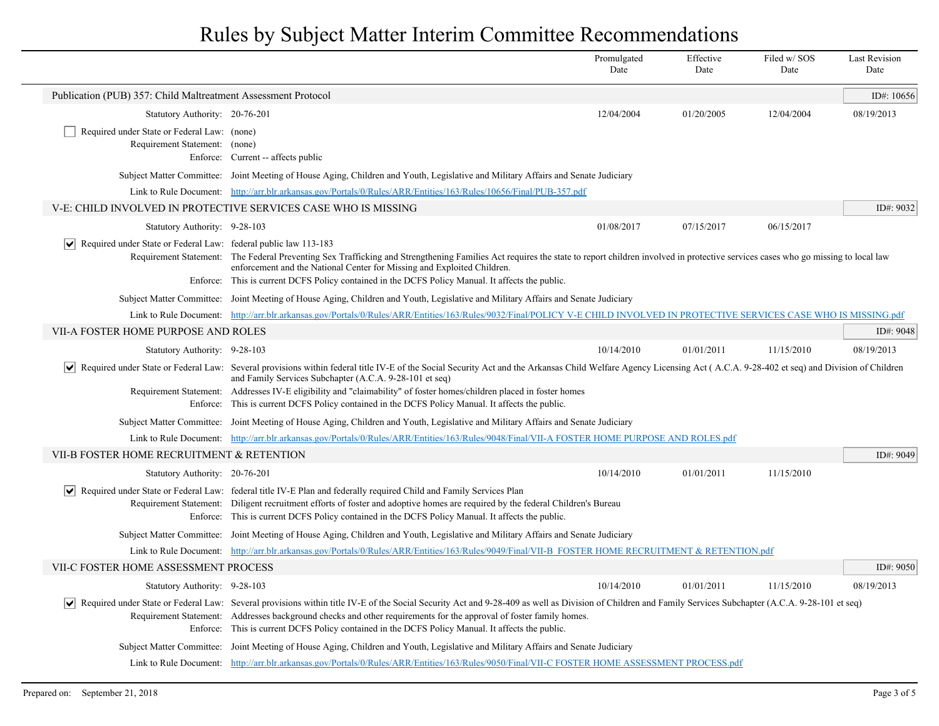|                                                                                        |                                                                                                                                                                                                                                                                                                                                                                                                                                                                                                           | Promulgated<br>Date | Effective<br>Date | Filed w/SOS<br>Date | <b>Last Revision</b><br>Date |
|----------------------------------------------------------------------------------------|-----------------------------------------------------------------------------------------------------------------------------------------------------------------------------------------------------------------------------------------------------------------------------------------------------------------------------------------------------------------------------------------------------------------------------------------------------------------------------------------------------------|---------------------|-------------------|---------------------|------------------------------|
| Publication (PUB) 357: Child Maltreatment Assessment Protocol                          |                                                                                                                                                                                                                                                                                                                                                                                                                                                                                                           |                     |                   |                     | ID#: $10656$                 |
| Statutory Authority: 20-76-201                                                         |                                                                                                                                                                                                                                                                                                                                                                                                                                                                                                           | 12/04/2004          | 01/20/2005        | 12/04/2004          | 08/19/2013                   |
| Required under State or Federal Law: (none)                                            |                                                                                                                                                                                                                                                                                                                                                                                                                                                                                                           |                     |                   |                     |                              |
| Requirement Statement: (none)                                                          |                                                                                                                                                                                                                                                                                                                                                                                                                                                                                                           |                     |                   |                     |                              |
|                                                                                        | Enforce: Current -- affects public                                                                                                                                                                                                                                                                                                                                                                                                                                                                        |                     |                   |                     |                              |
|                                                                                        | Subject Matter Committee: Joint Meeting of House Aging, Children and Youth, Legislative and Military Affairs and Senate Judiciary                                                                                                                                                                                                                                                                                                                                                                         |                     |                   |                     |                              |
|                                                                                        | Link to Rule Document: http://arr.blr.arkansas.gov/Portals/0/Rules/ARR/Entities/163/Rules/10656/Final/PUB-357.pdf                                                                                                                                                                                                                                                                                                                                                                                         |                     |                   |                     |                              |
|                                                                                        | V-E: CHILD INVOLVED IN PROTECTIVE SERVICES CASE WHO IS MISSING                                                                                                                                                                                                                                                                                                                                                                                                                                            |                     |                   |                     | ID#: 9032                    |
| Statutory Authority: 9-28-103                                                          |                                                                                                                                                                                                                                                                                                                                                                                                                                                                                                           | 01/08/2017          | 07/15/2017        | 06/15/2017          |                              |
| Required under State or Federal Law: federal public law 113-183<br>$ \bm{\mathsf{v}} $ | Requirement Statement: The Federal Preventing Sex Trafficking and Strengthening Families Act requires the state to report children involved in protective services cases who go missing to local law<br>enforcement and the National Center for Missing and Exploited Children.<br>Enforce: This is current DCFS Policy contained in the DCFS Policy Manual. It affects the public.                                                                                                                       |                     |                   |                     |                              |
|                                                                                        | Subject Matter Committee: Joint Meeting of House Aging, Children and Youth, Legislative and Military Affairs and Senate Judiciary                                                                                                                                                                                                                                                                                                                                                                         |                     |                   |                     |                              |
|                                                                                        | Link to Rule Document: http://arr.blr.arkansas.gov/Portals/0/Rules/ARR/Entities/163/Rules/9032/Final/POLICY V-E CHILD INVOLVED IN PROTECTIVE SERVICES CASE WHO IS MISSING.pdf                                                                                                                                                                                                                                                                                                                             |                     |                   |                     |                              |
| VII-A FOSTER HOME PURPOSE AND ROLES                                                    |                                                                                                                                                                                                                                                                                                                                                                                                                                                                                                           |                     |                   |                     | ID#: 9048                    |
| Statutory Authority: 9-28-103                                                          |                                                                                                                                                                                                                                                                                                                                                                                                                                                                                                           | 10/14/2010          | 01/01/2011        | 11/15/2010          | 08/19/2013                   |
| $ \bm{\mathsf{v}} $                                                                    | Required under State or Federal Law: Several provisions within federal title IV-E of the Social Security Act and the Arkansas Child Welfare Agency Licensing Act (A.C.A. 9-28-402 et seq) and Division of Children<br>and Family Services Subchapter (A.C.A. 9-28-101 et seq)<br>Requirement Statement: Addresses IV-E eligibility and "claimability" of foster homes/children placed in foster homes<br>Enforce: This is current DCFS Policy contained in the DCFS Policy Manual. It affects the public. |                     |                   |                     |                              |
|                                                                                        | Subject Matter Committee: Joint Meeting of House Aging, Children and Youth, Legislative and Military Affairs and Senate Judiciary                                                                                                                                                                                                                                                                                                                                                                         |                     |                   |                     |                              |
|                                                                                        | Link to Rule Document: http://arr.blr.arkansas.gov/Portals/0/Rules/ARR/Entities/163/Rules/9048/Final/VII-A FOSTER HOME PURPOSE AND ROLES.pdf                                                                                                                                                                                                                                                                                                                                                              |                     |                   |                     |                              |
| VII-B FOSTER HOME RECRUITMENT & RETENTION                                              |                                                                                                                                                                                                                                                                                                                                                                                                                                                                                                           |                     |                   |                     | ID#: 9049                    |
| Statutory Authority: 20-76-201                                                         |                                                                                                                                                                                                                                                                                                                                                                                                                                                                                                           | 10/14/2010          | 01/01/2011        | 11/15/2010          |                              |
| ∣V∣                                                                                    | Required under State or Federal Law: federal title IV-E Plan and federally required Child and Family Services Plan<br>Requirement Statement: Diligent recruitment efforts of foster and adoptive homes are required by the federal Children's Bureau<br>Enforce: This is current DCFS Policy contained in the DCFS Policy Manual. It affects the public.                                                                                                                                                  |                     |                   |                     |                              |
|                                                                                        | Subject Matter Committee: Joint Meeting of House Aging, Children and Youth, Legislative and Military Affairs and Senate Judiciary                                                                                                                                                                                                                                                                                                                                                                         |                     |                   |                     |                              |
|                                                                                        | Link to Rule Document: http://arr.blr.arkansas.gov/Portals/0/Rules/ARR/Entities/163/Rules/9049/Final/VII-B FOSTER HOME RECRUITMENT & RETENTION.pdf                                                                                                                                                                                                                                                                                                                                                        |                     |                   |                     |                              |
| VII-C FOSTER HOME ASSESSMENT PROCESS                                                   |                                                                                                                                                                                                                                                                                                                                                                                                                                                                                                           |                     |                   |                     | ID#: $9050$                  |
| Statutory Authority: 9-28-103                                                          |                                                                                                                                                                                                                                                                                                                                                                                                                                                                                                           | 10/14/2010          | 01/01/2011        | 11/15/2010          | 08/19/2013                   |
|                                                                                        | √ Required under State or Federal Law: Several provisions within title IV-E of the Social Security Act and 9-28-409 as well as Division of Children and Family Services Subchapter (A.C.A. 9-28-101 et seq)<br>Requirement Statement: Addresses background checks and other requirements for the approval of foster family homes.<br>Enforce: This is current DCFS Policy contained in the DCFS Policy Manual. It affects the public.                                                                     |                     |                   |                     |                              |
|                                                                                        | Subject Matter Committee: Joint Meeting of House Aging, Children and Youth, Legislative and Military Affairs and Senate Judiciary                                                                                                                                                                                                                                                                                                                                                                         |                     |                   |                     |                              |
|                                                                                        | Link to Rule Document: http://arr.blr.arkansas.gov/Portals/0/Rules/ARR/Entities/163/Rules/9050/Final/VII-C FOSTER HOME ASSESSMENT PROCESS.pdf                                                                                                                                                                                                                                                                                                                                                             |                     |                   |                     |                              |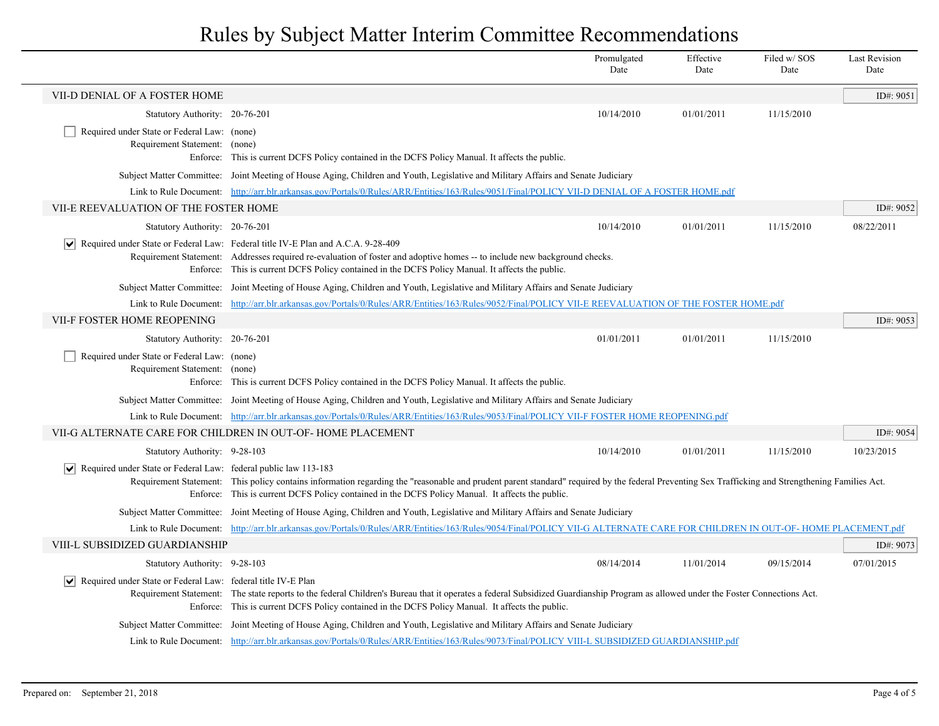|                                                                                                |                                                                                                                                                                                                                                                                                                                   | Promulgated<br>Date | Effective<br>Date | Filed w/ SOS<br>Date | Last Revision<br>Date |
|------------------------------------------------------------------------------------------------|-------------------------------------------------------------------------------------------------------------------------------------------------------------------------------------------------------------------------------------------------------------------------------------------------------------------|---------------------|-------------------|----------------------|-----------------------|
| VII-D DENIAL OF A FOSTER HOME                                                                  |                                                                                                                                                                                                                                                                                                                   |                     |                   |                      | ID#: 9051             |
| Statutory Authority: 20-76-201                                                                 |                                                                                                                                                                                                                                                                                                                   | 10/14/2010          | 01/01/2011        | 11/15/2010           |                       |
| Required under State or Federal Law: (none)<br>Requirement Statement: (none)                   | Enforce: This is current DCFS Policy contained in the DCFS Policy Manual. It affects the public.                                                                                                                                                                                                                  |                     |                   |                      |                       |
|                                                                                                | Subject Matter Committee: Joint Meeting of House Aging, Children and Youth, Legislative and Military Affairs and Senate Judiciary                                                                                                                                                                                 |                     |                   |                      |                       |
|                                                                                                | Link to Rule Document: http://arr.blr.arkansas.gov/Portals/0/Rules/ARR/Entities/163/Rules/9051/Final/POLICY VII-D DENIAL OF A FOSTER HOME.pdf                                                                                                                                                                     |                     |                   |                      |                       |
| VII-E REEVALUATION OF THE FOSTER HOME                                                          |                                                                                                                                                                                                                                                                                                                   |                     |                   |                      | ID#: 9052             |
| Statutory Authority: 20-76-201                                                                 |                                                                                                                                                                                                                                                                                                                   | 10/14/2010          | 01/01/2011        | 11/15/2010           | 08/22/2011            |
| ∣V∣                                                                                            | Required under State or Federal Law: Federal title IV-E Plan and A.C.A. 9-28-409<br>Requirement Statement: Addresses required re-evaluation of foster and adoptive homes -- to include new background checks.<br>Enforce: This is current DCFS Policy contained in the DCFS Policy Manual. It affects the public. |                     |                   |                      |                       |
|                                                                                                | Subject Matter Committee: Joint Meeting of House Aging, Children and Youth, Legislative and Military Affairs and Senate Judiciary                                                                                                                                                                                 |                     |                   |                      |                       |
|                                                                                                | Link to Rule Document: http://arr.blr.arkansas.gov/Portals/0/Rules/ARR/Entities/163/Rules/9052/Final/POLICY VII-E REEVALUATION OF THE FOSTER HOME.pdf                                                                                                                                                             |                     |                   |                      |                       |
| VII-F FOSTER HOME REOPENING                                                                    |                                                                                                                                                                                                                                                                                                                   |                     |                   |                      | ID#: 9053             |
| Statutory Authority: 20-76-201                                                                 |                                                                                                                                                                                                                                                                                                                   | 01/01/2011          | 01/01/2011        | 11/15/2010           |                       |
| Required under State or Federal Law: (none)<br>Requirement Statement: (none)                   | Enforce: This is current DCFS Policy contained in the DCFS Policy Manual. It affects the public.                                                                                                                                                                                                                  |                     |                   |                      |                       |
|                                                                                                | Subject Matter Committee: Joint Meeting of House Aging, Children and Youth, Legislative and Military Affairs and Senate Judiciary                                                                                                                                                                                 |                     |                   |                      |                       |
|                                                                                                | Link to Rule Document: http://arr.blr.arkansas.gov/Portals/0/Rules/ARR/Entities/163/Rules/9053/Final/POLICY VII-F FOSTER HOME REOPENING.pdf                                                                                                                                                                       |                     |                   |                      |                       |
|                                                                                                | VII-G ALTERNATE CARE FOR CHILDREN IN OUT-OF-HOME PLACEMENT                                                                                                                                                                                                                                                        |                     |                   |                      | ID#: 9054             |
| Statutory Authority: 9-28-103                                                                  |                                                                                                                                                                                                                                                                                                                   | 10/14/2010          | 01/01/2011        | 11/15/2010           | 10/23/2015            |
| $\vert\bm{\mathsf{v}}\vert$<br>Required under State or Federal Law: federal public law 113-183 | Requirement Statement: This policy contains information regarding the "reasonable and prudent parent standard" required by the federal Preventing Sex Trafficking and Strengthening Families Act.<br>Enforce: This is current DCFS Policy contained in the DCFS Policy Manual. It affects the public.             |                     |                   |                      |                       |
|                                                                                                | Subject Matter Committee: Joint Meeting of House Aging, Children and Youth, Legislative and Military Affairs and Senate Judiciary                                                                                                                                                                                 |                     |                   |                      |                       |
|                                                                                                | Link to Rule Document: http://arr.blr.arkansas.gov/Portals/0/Rules/ARR/Entities/163/Rules/9054/Final/POLICY VII-G ALTERNATE CARE FOR CHILDREN IN OUT-OF-HOME PLACEMENT.pdf                                                                                                                                        |                     |                   |                      |                       |
| VIII-L SUBSIDIZED GUARDIANSHIP                                                                 |                                                                                                                                                                                                                                                                                                                   |                     |                   |                      | ID#: 9073             |
| Statutory Authority: 9-28-103                                                                  |                                                                                                                                                                                                                                                                                                                   | 08/14/2014          | 11/01/2014        | 09/15/2014           | 07/01/2015            |
| ∣∨<br>Required under State or Federal Law: federal title IV-E Plan                             | Requirement Statement: The state reports to the federal Children's Bureau that it operates a federal Subsidized Guardianship Program as allowed under the Foster Connections Act.<br>Enforce: This is current DCFS Policy contained in the DCFS Policy Manual. It affects the public.                             |                     |                   |                      |                       |
|                                                                                                | Subject Matter Committee: Joint Meeting of House Aging, Children and Youth, Legislative and Military Affairs and Senate Judiciary                                                                                                                                                                                 |                     |                   |                      |                       |
|                                                                                                | Link to Rule Document: http://arr.blr.arkansas.gov/Portals/0/Rules/ARR/Entities/163/Rules/9073/Final/POLICY VIII-L SUBSIDIZED GUARDIANSHIP.pdf                                                                                                                                                                    |                     |                   |                      |                       |